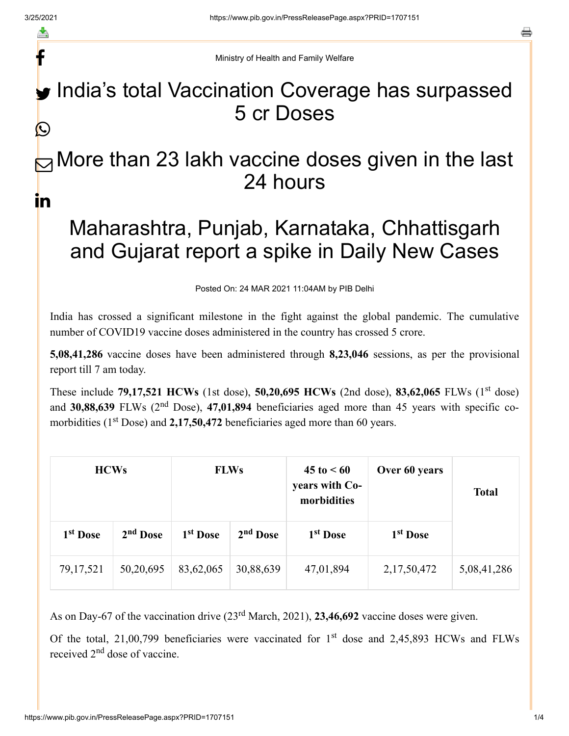f

a

Ministry of Health and Family Welfare

## India's total Vaccination Coverage has surpassed 5 cr Doses  $\bigcirc$

## $\boxdot$  More than 23 lakh vaccine doses given in the last 24 hours in

## Maharashtra, Punjab, Karnataka, Chhattisgarh and Gujarat report a spike in Daily New Cases

Posted On: 24 MAR 2021 11:04AM by PIB Delhi

India has crossed a significant milestone in the fight against the global pandemic. The cumulative number of COVID19 vaccine doses administered in the country has crossed 5 crore.

**5,08,41,286** vaccine doses have been administered through **8,23,046** sessions, as per the provisional report till 7 am today.

These include **79,17,521 HCWs** (1st dose), **50,20,695 HCWs** (2nd dose), **83,62,065** FLWs (1<sup>st</sup> dose) and 30,88,639 FLWs (2<sup>nd</sup> Dose), 47,01,894 beneficiaries aged more than 45 years with specific comorbidities  $(1<sup>st</sup> Does)$  and  $2,17,50,472$  beneficiaries aged more than 60 years.

| <b>HCWs</b>          |                      | <b>FLWs</b>          |            | $45 \text{ to } 50$<br>years with Co-<br>morbidities | Over 60 years        | <b>Total</b> |
|----------------------|----------------------|----------------------|------------|------------------------------------------------------|----------------------|--------------|
| 1 <sup>st</sup> Dose | 2 <sup>nd</sup> Dose | 1 <sup>st</sup> Dose | $2nd$ Dose | 1 <sup>st</sup> Dose                                 | 1 <sup>st</sup> Dose |              |
| 79, 17, 521          | 50,20,695            | 83,62,065            | 30,88,639  | 47,01,894                                            | 2,17,50,472          | 5,08,41,286  |

As on Day-67 of the vaccination drive (23<sup>rd</sup> March, 2021), 23,46,692 vaccine doses were given.

Of the total, 21,00,799 beneficiaries were vaccinated for  $1<sup>st</sup>$  dose and 2,45,893 HCWs and FLWs received 2<sup>nd</sup> dose of vaccine.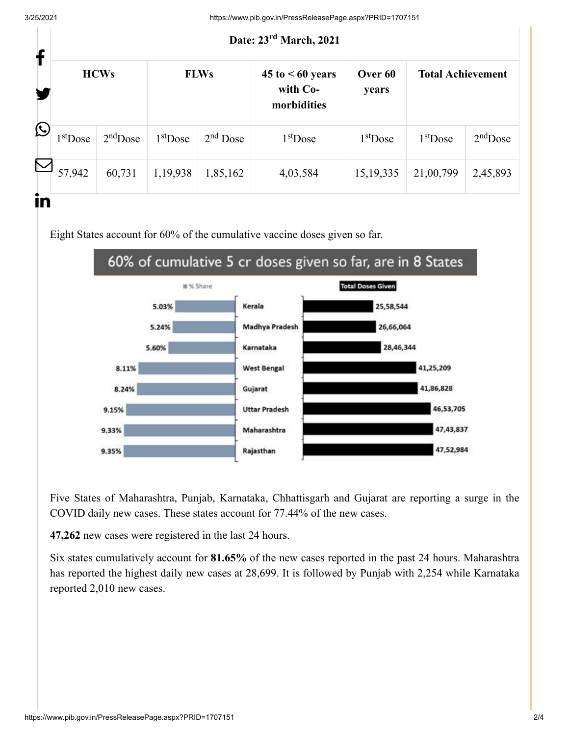## Date: 23<sup>rd</sup> March, 2021 **HCWs FLWs 45 to < 60 years with Comorbidities Over 60 years Total Achievement**  $1<sup>st</sup>$ Dose  $2<sup>nd</sup>$ Dose  $1<sup>st</sup>$ Dose 1  $1<sup>st</sup>$ Dose 1  $1<sup>st</sup>$ Dose 1  $1<sup>st</sup>$ Dose 2<sup>nd</sup>Dose 57,942 60,731 1,19,938 1,85,162 4,03,584 15,19,335 21,00,799 2,45,893  $\frac{\text{st}}{\text{Dose}}$  and  $\frac{\text{nd}}{\text{Dose}}$  and  $\frac{\text{d}}{\text{Dose}}$  is  $\frac{\text{st}}{\text{Dose}}$  is  $\frac{\text{st}}{\text{Dose}}$  is  $\frac{\text{nd}}{\text{Dose}}$  and f У. Ŀ  $\mathbf \Xi$ <u>in</u>

Eight States account for 60% of the cumulative vaccine doses given so far.



Five States of Maharashtra, Punjab, Karnataka, Chhattisgarh and Gujarat are reporting a surge in the COVID daily new cases. These states account for 77.44% of the new cases.

**47,262** new cases were registered in the last 24 hours.

Six states cumulatively account for **81.65%** of the new cases reported in the past 24 hours. Maharashtra has reported the highest daily new cases at 28,699. It is followed by Punjab with 2,254 while Karnataka reported 2,010 new cases.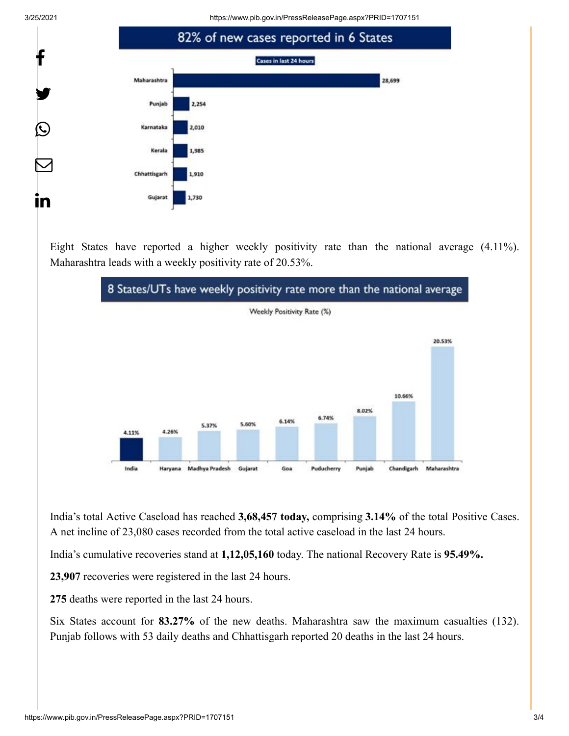3/25/2021 https://www.pib.gov.in/PressReleasePage.aspx?PRID=1707151



Eight States have reported a higher weekly positivity rate than the national average (4.11%). Maharashtra leads with a weekly positivity rate of 20.53%.



India's total Active Caseload has reached **3,68,457 today,** comprising **3.14%** of the total Positive Cases. A net incline of 23,080 cases recorded from the total active caseload in the last 24 hours.

India's cumulative recoveries stand at **1,12,05,160** today. The national Recovery Rate is **95.49%.**

**23,907** recoveries were registered in the last 24 hours.

**275** deaths were reported in the last 24 hours.

Six States account for **83.27%** of the new deaths. Maharashtra saw the maximum casualties (132). Punjab follows with 53 daily deaths and Chhattisgarh reported 20 deaths in the last 24 hours.